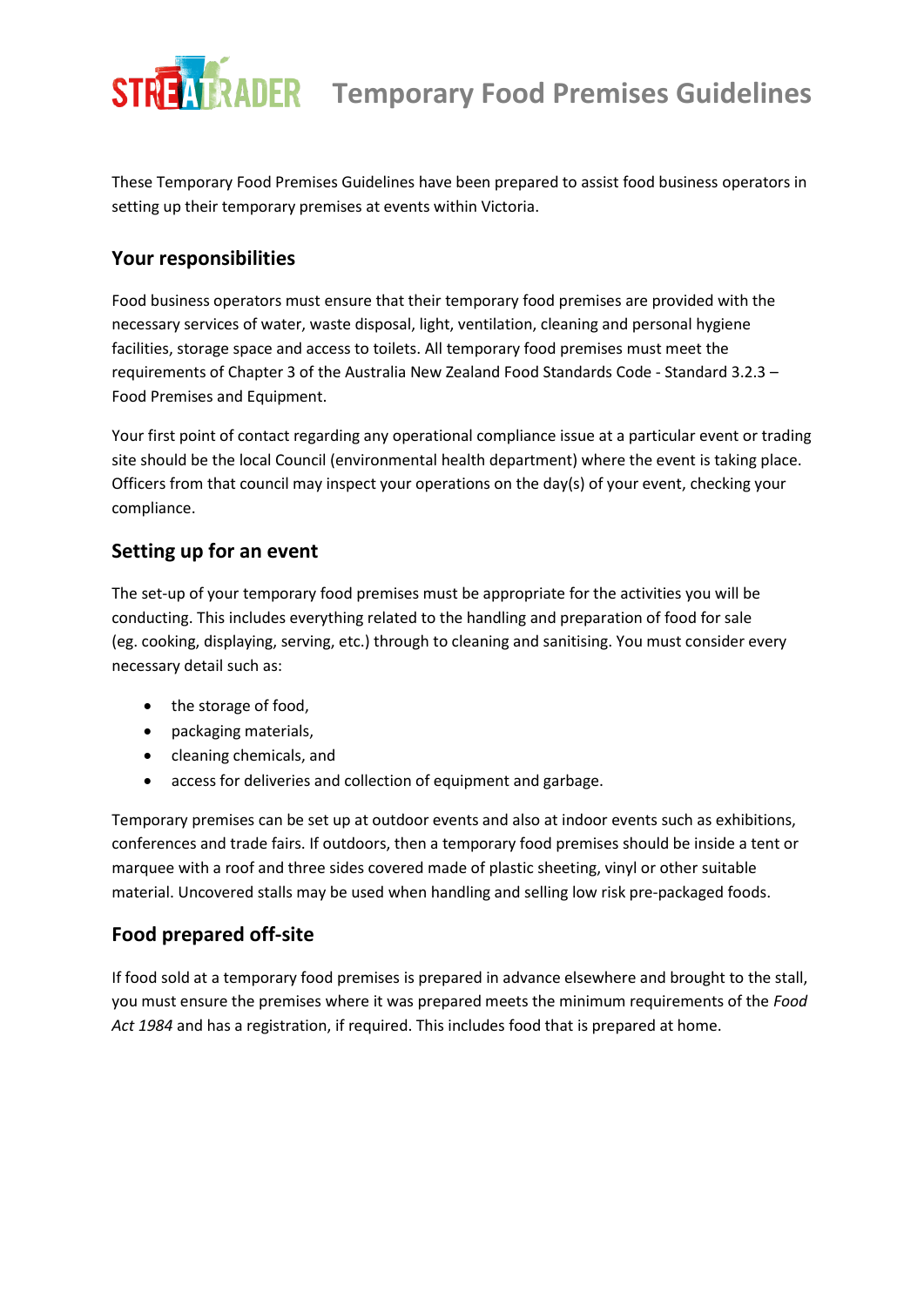# **TRADER** Temporary Food Premises Guidelines

These Temporary Food Premises Guidelines have been prepared to assist food business operators in setting up their temporary premises at events within Victoria.

### **Your responsibilities**

Food business operators must ensure that their temporary food premises are provided with the necessary services of water, waste disposal, light, ventilation, cleaning and personal hygiene facilities, storage space and access to toilets. All temporary food premises must meet the requirements of Chapter 3 of the Australia New Zealand Food Standards Code - Standard 3.2.3 – Food Premises and Equipment.

Your first point of contact regarding any operational compliance issue at a particular event or trading site should be the local Council (environmental health department) where the event is taking place. Officers from that council may inspect your operations on the day(s) of your event, checking your compliance.

## **Setting up for an event**

The set-up of your temporary food premises must be appropriate for the activities you will be conducting. This includes everything related to the handling and preparation of food for sale (eg. cooking, displaying, serving, etc.) through to cleaning and sanitising. You must consider every necessary detail such as:

- the storage of food,
- packaging materials,
- cleaning chemicals, and
- access for deliveries and collection of equipment and garbage.

Temporary premises can be set up at outdoor events and also at indoor events such as exhibitions, conferences and trade fairs. If outdoors, then a temporary food premises should be inside a tent or marquee with a roof and three sides covered made of plastic sheeting, vinyl or other suitable material. Uncovered stalls may be used when handling and selling low risk pre-packaged foods.

## **Food prepared off-site**

If food sold at a temporary food premises is prepared in advance elsewhere and brought to the stall, you must ensure the premises where it was prepared meets the minimum requirements of the *Food Act 1984* and has a registration, if required. This includes food that is prepared at home.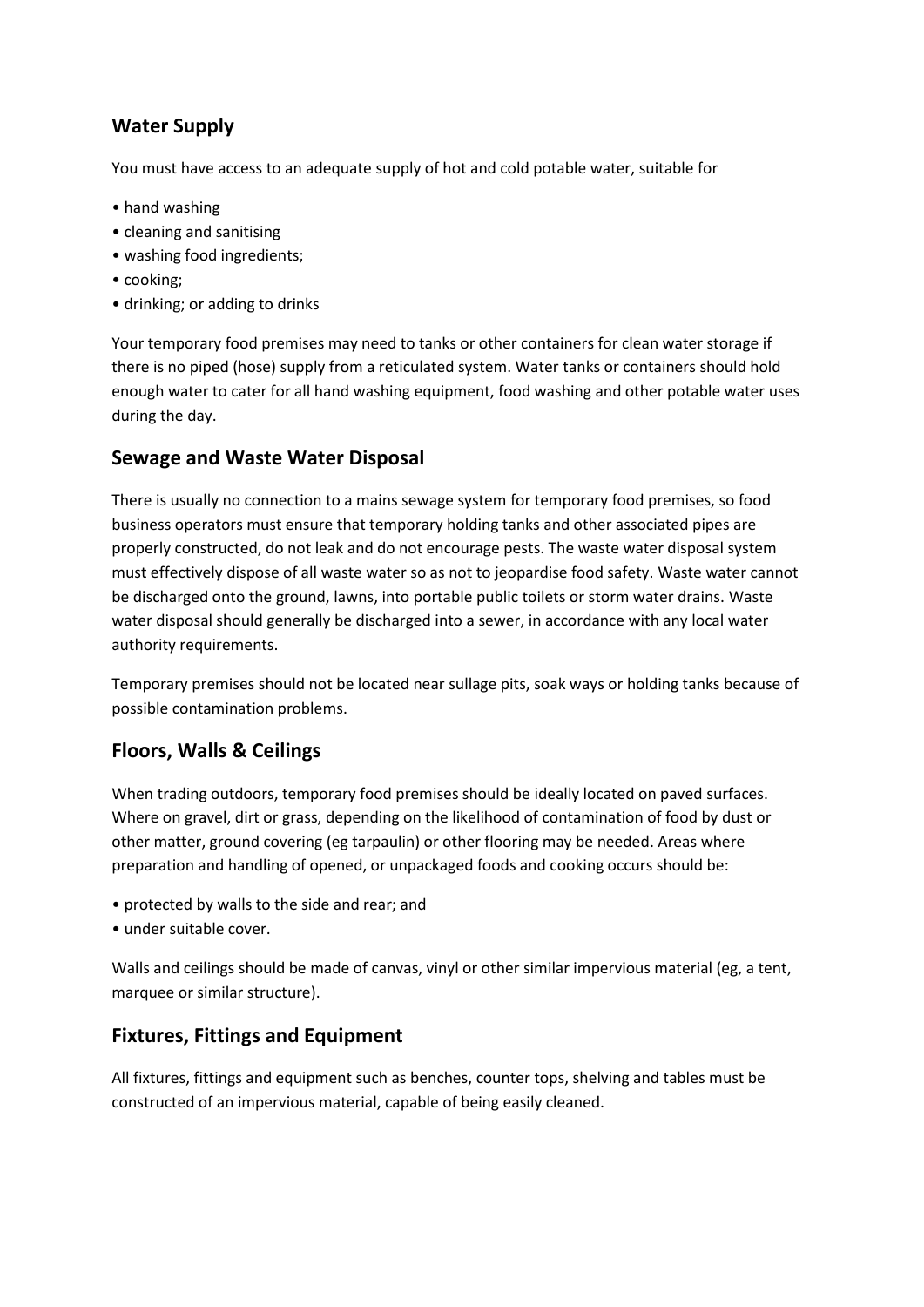# **Water Supply**

You must have access to an adequate supply of hot and cold potable water, suitable for

- hand washing
- cleaning and sanitising
- washing food ingredients;
- cooking;
- drinking; or adding to drinks

Your temporary food premises may need to tanks or other containers for clean water storage if there is no piped (hose) supply from a reticulated system. Water tanks or containers should hold enough water to cater for all hand washing equipment, food washing and other potable water uses during the day.

## **Sewage and Waste Water Disposal**

There is usually no connection to a mains sewage system for temporary food premises, so food business operators must ensure that temporary holding tanks and other associated pipes are properly constructed, do not leak and do not encourage pests. The waste water disposal system must effectively dispose of all waste water so as not to jeopardise food safety. Waste water cannot be discharged onto the ground, lawns, into portable public toilets or storm water drains. Waste water disposal should generally be discharged into a sewer, in accordance with any local water authority requirements.

Temporary premises should not be located near sullage pits, soak ways or holding tanks because of possible contamination problems.

# **Floors, Walls & Ceilings**

When trading outdoors, temporary food premises should be ideally located on paved surfaces. Where on gravel, dirt or grass, depending on the likelihood of contamination of food by dust or other matter, ground covering (eg tarpaulin) or other flooring may be needed. Areas where preparation and handling of opened, or unpackaged foods and cooking occurs should be:

- protected by walls to the side and rear; and
- under suitable cover.

Walls and ceilings should be made of canvas, vinyl or other similar impervious material (eg, a tent, marquee or similar structure).

## **Fixtures, Fittings and Equipment**

All fixtures, fittings and equipment such as benches, counter tops, shelving and tables must be constructed of an impervious material, capable of being easily cleaned.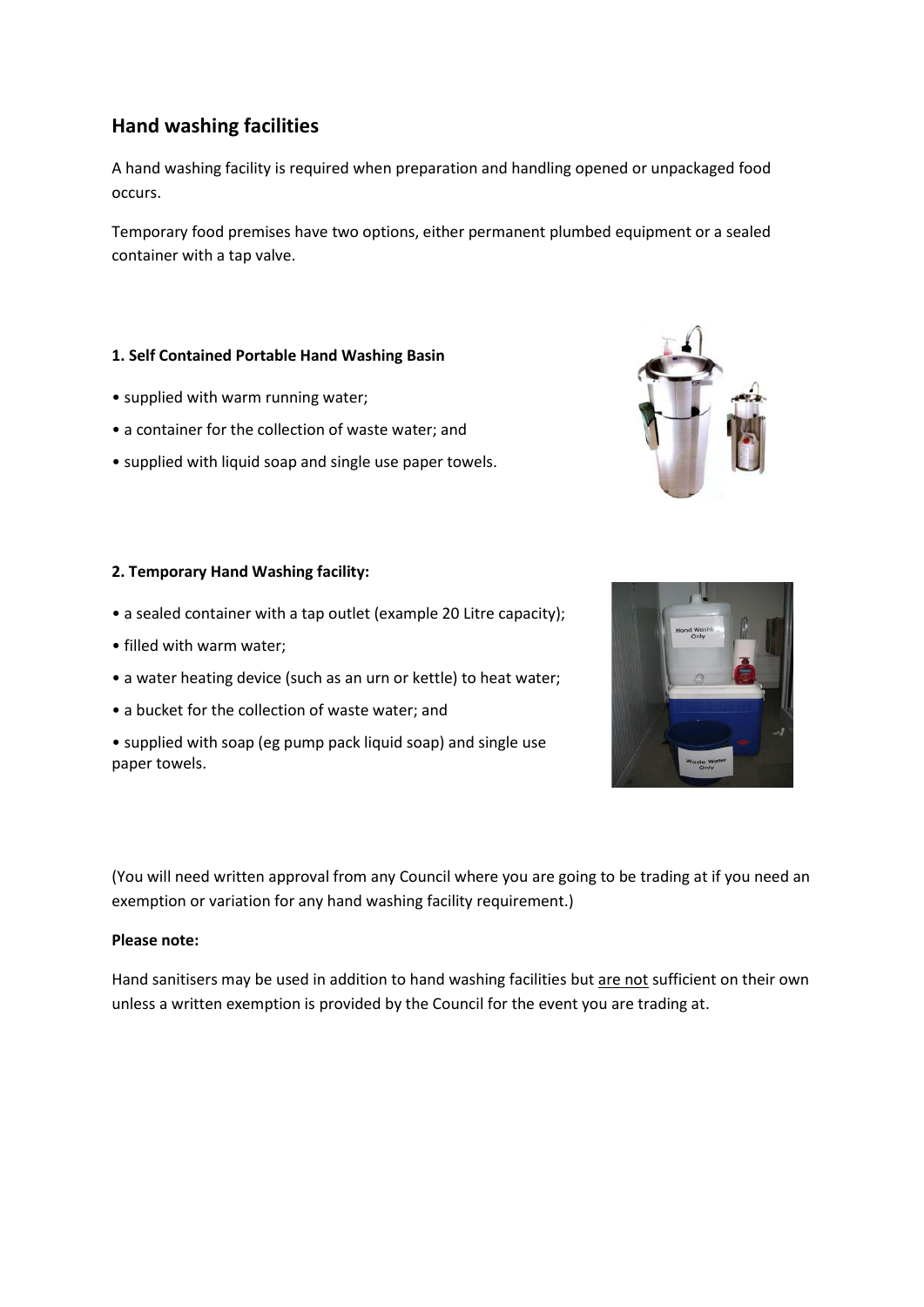## **Hand washing facilities**

A hand washing facility is required when preparation and handling opened or unpackaged food occurs.

Temporary food premises have two options, either permanent plumbed equipment or a sealed container with a tap valve.

#### **1. Self Contained Portable Hand Washing Basin**

- supplied with warm running water;
- a container for the collection of waste water; and
- supplied with liquid soap and single use paper towels.

#### **2. Temporary Hand Washing facility:**

- a sealed container with a tap outlet (example 20 Litre capacity);
- filled with warm water;
- a water heating device (such as an urn or kettle) to heat water;
- a bucket for the collection of waste water; and
- supplied with soap (eg pump pack liquid soap) and single use paper towels.

(You will need written approval from any Council where you are going to be trading at if you need an exemption or variation for any hand washing facility requirement.)

#### **Please note:**

Hand sanitisers may be used in addition to hand washing facilities but are not sufficient on their own unless a written exemption is provided by the Council for the event you are trading at.



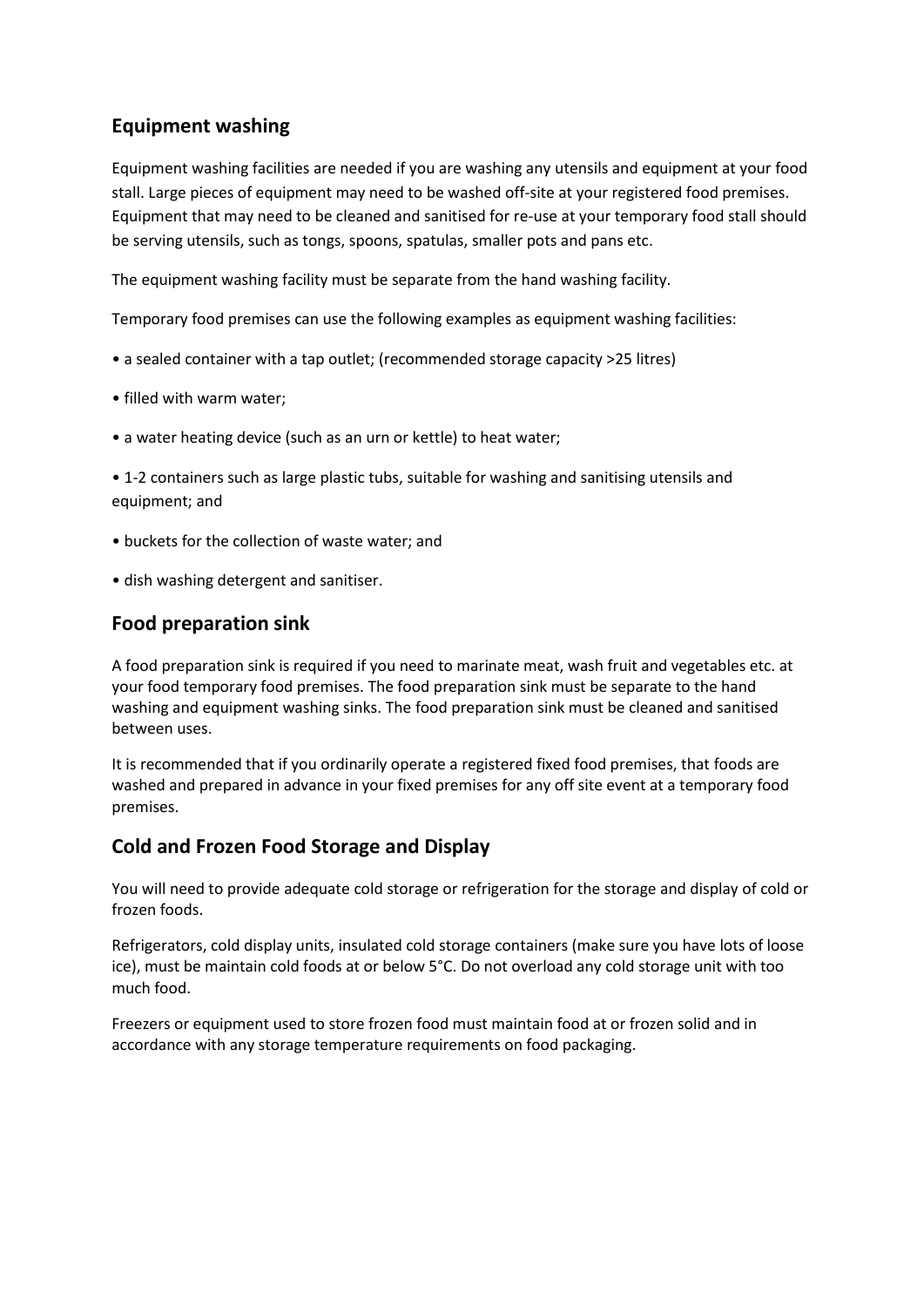# **Equipment washing**

Equipment washing facilities are needed if you are washing any utensils and equipment at your food stall. Large pieces of equipment may need to be washed off-site at your registered food premises. Equipment that may need to be cleaned and sanitised for re-use at your temporary food stall should be serving utensils, such as tongs, spoons, spatulas, smaller pots and pans etc.

The equipment washing facility must be separate from the hand washing facility.

Temporary food premises can use the following examples as equipment washing facilities:

- a sealed container with a tap outlet; (recommended storage capacity >25 litres)
- filled with warm water;
- a water heating device (such as an urn or kettle) to heat water;

• 1-2 containers such as large plastic tubs, suitable for washing and sanitising utensils and equipment; and

- buckets for the collection of waste water; and
- dish washing detergent and sanitiser.

### **Food preparation sink**

A food preparation sink is required if you need to marinate meat, wash fruit and vegetables etc. at your food temporary food premises. The food preparation sink must be separate to the hand washing and equipment washing sinks. The food preparation sink must be cleaned and sanitised between uses.

It is recommended that if you ordinarily operate a registered fixed food premises, that foods are washed and prepared in advance in your fixed premises for any off site event at a temporary food premises.

## **Cold and Frozen Food Storage and Display**

You will need to provide adequate cold storage or refrigeration for the storage and display of cold or frozen foods.

Refrigerators, cold display units, insulated cold storage containers (make sure you have lots of loose ice), must be maintain cold foods at or below 5°C. Do not overload any cold storage unit with too much food.

Freezers or equipment used to store frozen food must maintain food at or frozen solid and in accordance with any storage temperature requirements on food packaging.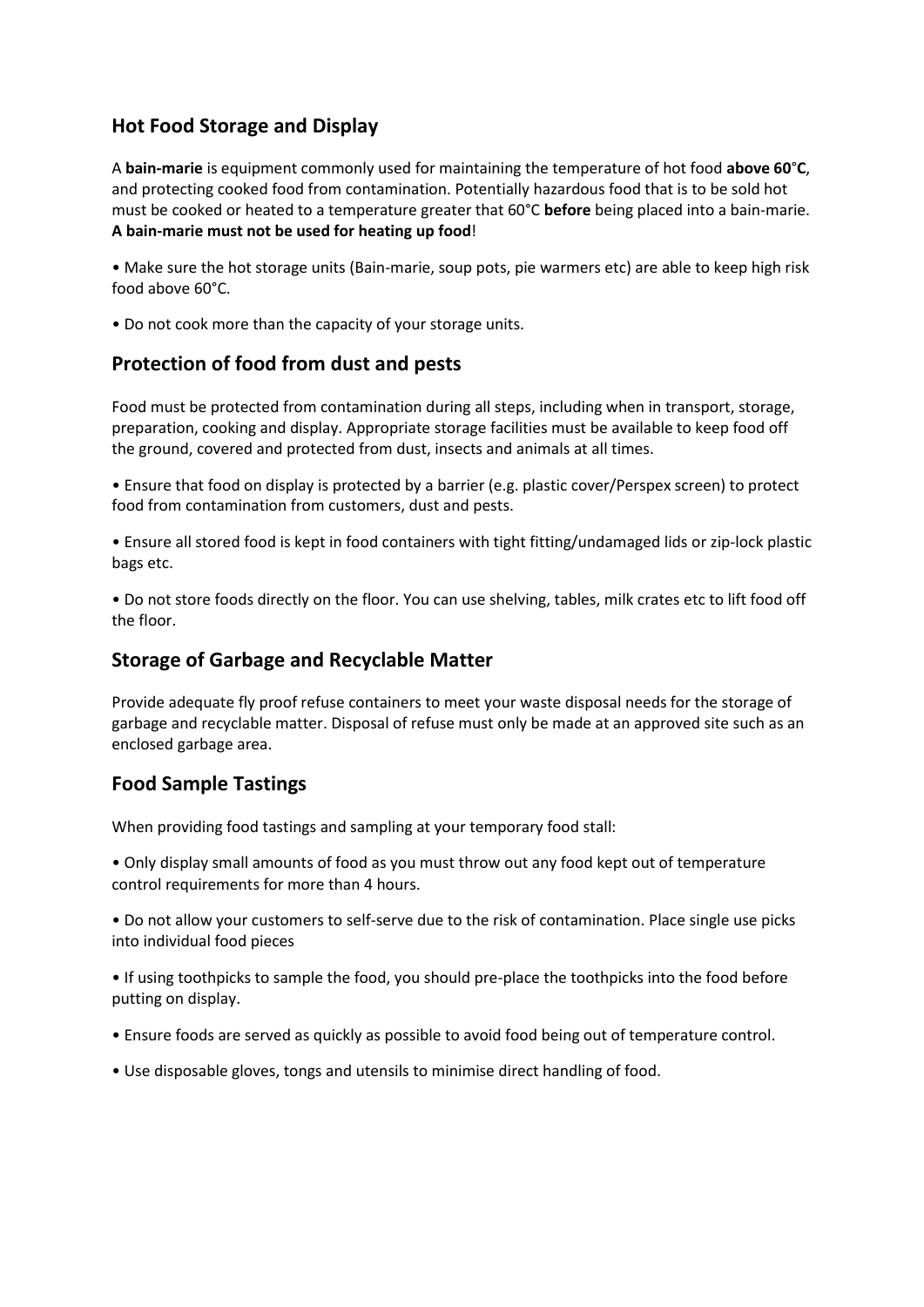## **Hot Food Storage and Display**

A **bain-marie** is equipment commonly used for maintaining the temperature of hot food **above 60**°**C**, and protecting cooked food from contamination. Potentially hazardous food that is to be sold hot must be cooked or heated to a temperature greater that 60°C **before** being placed into a bain-marie. **A bain-marie must not be used for heating up food**!

• Make sure the hot storage units (Bain-marie, soup pots, pie warmers etc) are able to keep high risk food above 60°C.

• Do not cook more than the capacity of your storage units.

## **Protection of food from dust and pests**

Food must be protected from contamination during all steps, including when in transport, storage, preparation, cooking and display. Appropriate storage facilities must be available to keep food off the ground, covered and protected from dust, insects and animals at all times.

• Ensure that food on display is protected by a barrier (e.g. plastic cover/Perspex screen) to protect food from contamination from customers, dust and pests.

• Ensure all stored food is kept in food containers with tight fitting/undamaged lids or zip-lock plastic bags etc.

• Do not store foods directly on the floor. You can use shelving, tables, milk crates etc to lift food off the floor.

## **Storage of Garbage and Recyclable Matter**

Provide adequate fly proof refuse containers to meet your waste disposal needs for the storage of garbage and recyclable matter. Disposal of refuse must only be made at an approved site such as an enclosed garbage area.

## **Food Sample Tastings**

When providing food tastings and sampling at your temporary food stall:

• Only display small amounts of food as you must throw out any food kept out of temperature control requirements for more than 4 hours.

• Do not allow your customers to self-serve due to the risk of contamination. Place single use picks into individual food pieces

• If using toothpicks to sample the food, you should pre-place the toothpicks into the food before putting on display.

- Ensure foods are served as quickly as possible to avoid food being out of temperature control.
- Use disposable gloves, tongs and utensils to minimise direct handling of food.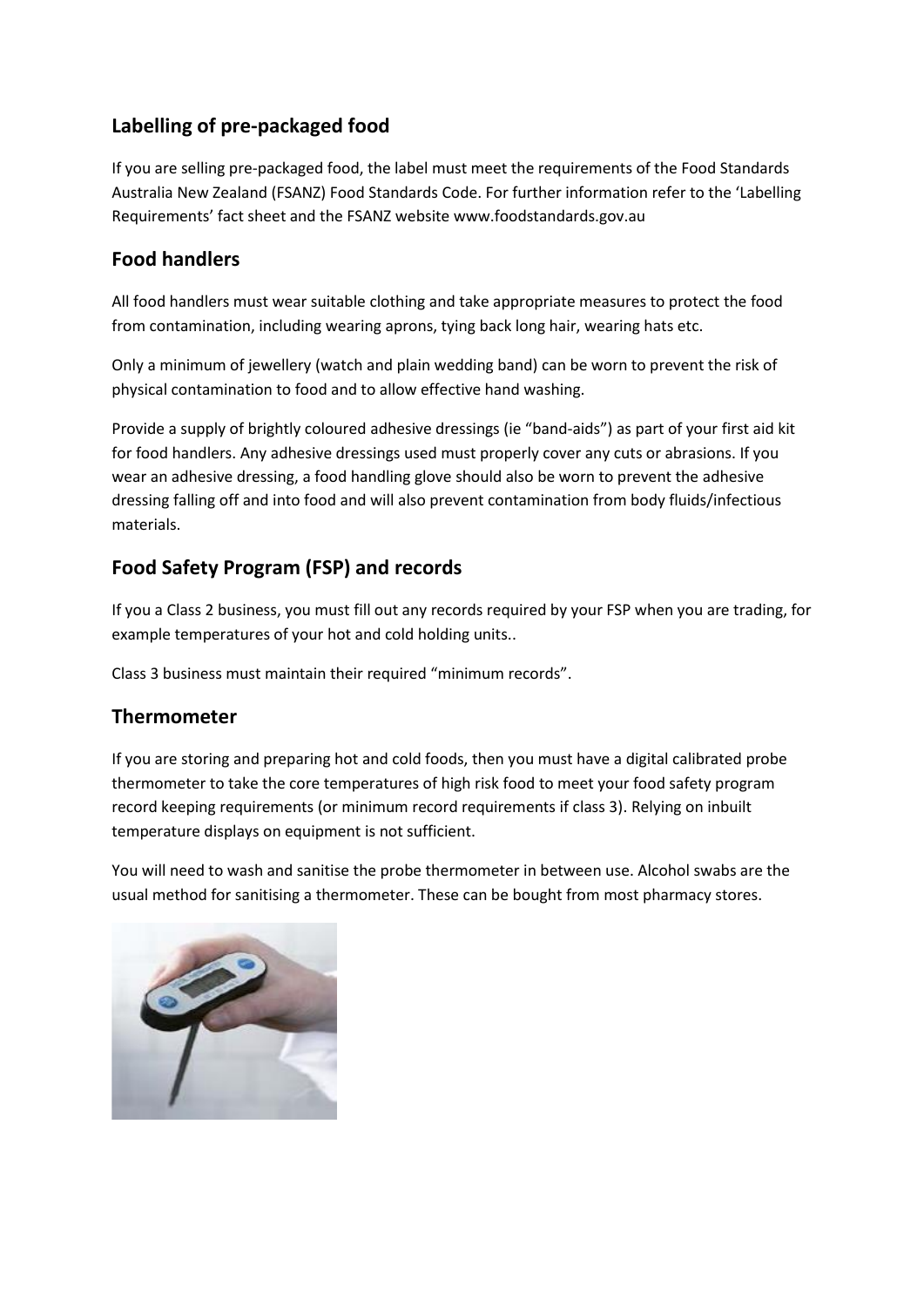# **Labelling of pre-packaged food**

If you are selling pre-packaged food, the label must meet the requirements of the Food Standards Australia New Zealand (FSANZ) Food Standards Code. For further information refer to the 'Labelling Requirements' fact sheet and the FSANZ website www.foodstandards.gov.au

# **Food handlers**

All food handlers must wear suitable clothing and take appropriate measures to protect the food from contamination, including wearing aprons, tying back long hair, wearing hats etc.

Only a minimum of jewellery (watch and plain wedding band) can be worn to prevent the risk of physical contamination to food and to allow effective hand washing.

Provide a supply of brightly coloured adhesive dressings (ie "band-aids") as part of your first aid kit for food handlers. Any adhesive dressings used must properly cover any cuts or abrasions. If you wear an adhesive dressing, a food handling glove should also be worn to prevent the adhesive dressing falling off and into food and will also prevent contamination from body fluids/infectious materials.

# **Food Safety Program (FSP) and records**

If you a Class 2 business, you must fill out any records required by your FSP when you are trading, for example temperatures of your hot and cold holding units..

Class 3 business must maintain their required "minimum records".

## **Thermometer**

If you are storing and preparing hot and cold foods, then you must have a digital calibrated probe thermometer to take the core temperatures of high risk food to meet your food safety program record keeping requirements (or minimum record requirements if class 3). Relying on inbuilt temperature displays on equipment is not sufficient.

You will need to wash and sanitise the probe thermometer in between use. Alcohol swabs are the usual method for sanitising a thermometer. These can be bought from most pharmacy stores.